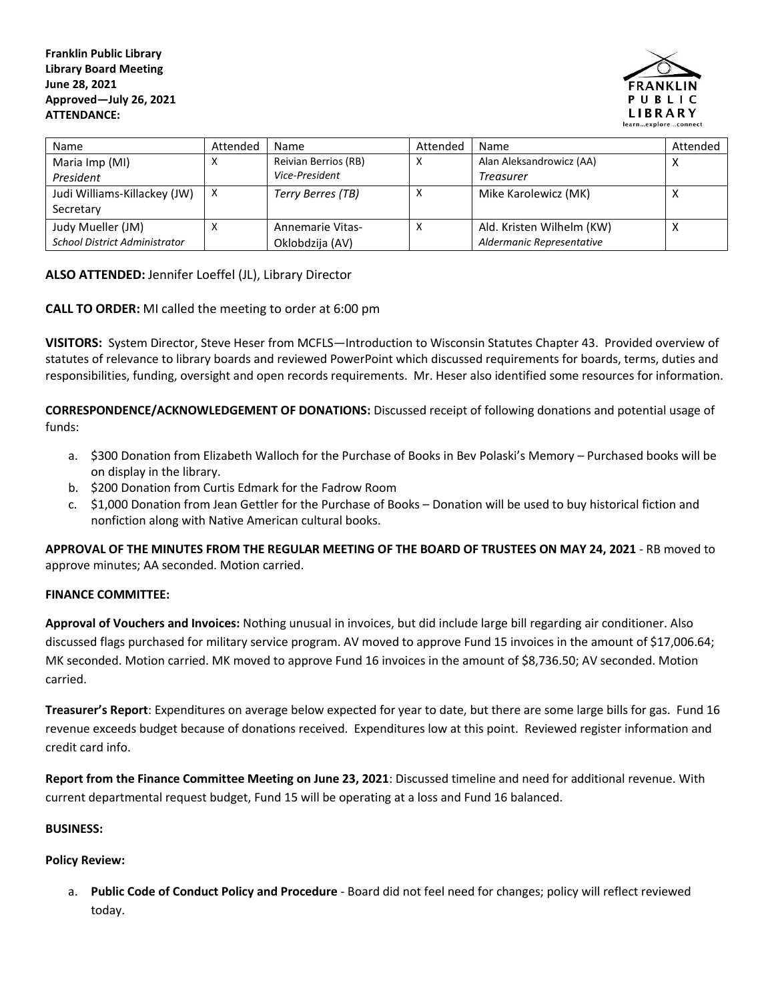

| <b>Name</b>                          | Attended | Name                 | Attended | <b>Name</b>               | Attended |
|--------------------------------------|----------|----------------------|----------|---------------------------|----------|
| Maria Imp (MI)                       | х        | Reivian Berrios (RB) |          | Alan Aleksandrowicz (AA)  |          |
| President                            |          | Vice-President       |          | Treasurer                 |          |
| Judi Williams-Killackey (JW)         | X        | Terry Berres (TB)    |          | Mike Karolewicz (MK)      |          |
| Secretary                            |          |                      |          |                           |          |
| Judy Mueller (JM)                    | x        | Annemarie Vitas-     |          | Ald. Kristen Wilhelm (KW) |          |
| <b>School District Administrator</b> |          | Oklobdzija (AV)      |          | Aldermanic Representative |          |

## **ALSO ATTENDED:** Jennifer Loeffel (JL), Library Director

**CALL TO ORDER:** MI called the meeting to order at 6:00 pm

**VISITORS:** System Director, Steve Heser from MCFLS—Introduction to Wisconsin Statutes Chapter 43. Provided overview of statutes of relevance to library boards and reviewed PowerPoint which discussed requirements for boards, terms, duties and responsibilities, funding, oversight and open records requirements. Mr. Heser also identified some resources for information.

**CORRESPONDENCE/ACKNOWLEDGEMENT OF DONATIONS:** Discussed receipt of following donations and potential usage of funds:

- a. \$300 Donation from Elizabeth Walloch for the Purchase of Books in Bev Polaski's Memory Purchased books will be on display in the library.
- b. \$200 Donation from Curtis Edmark for the Fadrow Room
- c. \$1,000 Donation from Jean Gettler for the Purchase of Books Donation will be used to buy historical fiction and nonfiction along with Native American cultural books.

**APPROVAL OF THE MINUTES FROM THE REGULAR MEETING OF THE BOARD OF TRUSTEES ON MAY 24, 2021** - RB moved to approve minutes; AA seconded. Motion carried.

## **FINANCE COMMITTEE:**

**Approval of Vouchers and Invoices:** Nothing unusual in invoices, but did include large bill regarding air conditioner. Also discussed flags purchased for military service program. AV moved to approve Fund 15 invoices in the amount of \$17,006.64; MK seconded. Motion carried. MK moved to approve Fund 16 invoices in the amount of \$8,736.50; AV seconded. Motion carried.

**Treasurer's Report**: Expenditures on average below expected for year to date, but there are some large bills for gas. Fund 16 revenue exceeds budget because of donations received. Expenditures low at this point. Reviewed register information and credit card info.

**Report from the Finance Committee Meeting on June 23, 2021**: Discussed timeline and need for additional revenue. With current departmental request budget, Fund 15 will be operating at a loss and Fund 16 balanced.

## **BUSINESS:**

## **Policy Review:**

a. **Public Code of Conduct Policy and Procedure** - Board did not feel need for changes; policy will reflect reviewed today.